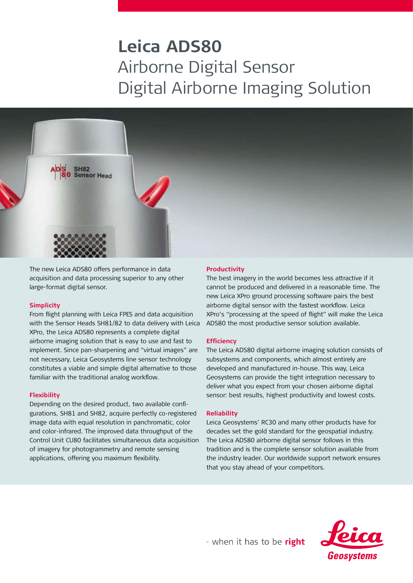# **Leica ADS80**  Airborne Digital Sensor Digital Airborne Imaging Solution



The new Leica ADS80 offers performance in data acquisition and data processing superior to any other large-format digital sensor.

# **Simplicity**

From flight planning with Leica FPES and data acquisition with the Sensor Heads SH81/82 to data delivery with Leica XPro, the Leica ADS80 represents a complete digital airborne imaging solution that is easy to use and fast to implement. Since pan-sharpening and "virtual images" are not necessary, Leica Geosystems line sensor technology constitutes a viable and simple digital alternative to those familiar with the traditional analog workflow.

# **Flexibility**

Depending on the desired product, two available configurations, SH81 and SH82, acquire perfectly co-registered image data with equal resolution in panchromatic, color and color-infrared. The improved data throughput of the Control Unit CU80 facilitates simultaneous data acquisition of imagery for photogrammetry and remote sensing applications, offering you maximum flexibility.

# **Productivity**

The best imagery in the world becomes less attractive if it cannot be produced and delivered in a reasonable time. The new Leica XPro ground processing software pairs the best airborne digital sensor with the fastest workflow. Leica XPro's "processing at the speed of flight" will make the Leica ADS80 the most productive sensor solution available.

# **Efficiency**

The Leica ADS80 digital airborne imaging solution consists of subsystems and components, which almost entirely are developed and manufactured in-house. This way, Leica Geosystems can provide the tight integration necessary to deliver what you expect from your chosen airborne digital sensor: best results, highest productivity and lowest costs.

# **Reliability**

Leica Geosystems' RC30 and many other products have for decades set the gold standard for the geospatial industry. The Leica ADS80 airborne digital sensor follows in this tradition and is the complete sensor solution available from the industry leader. Our worldwide support network ensures that you stay ahead of your competitors.



- when it has to be right